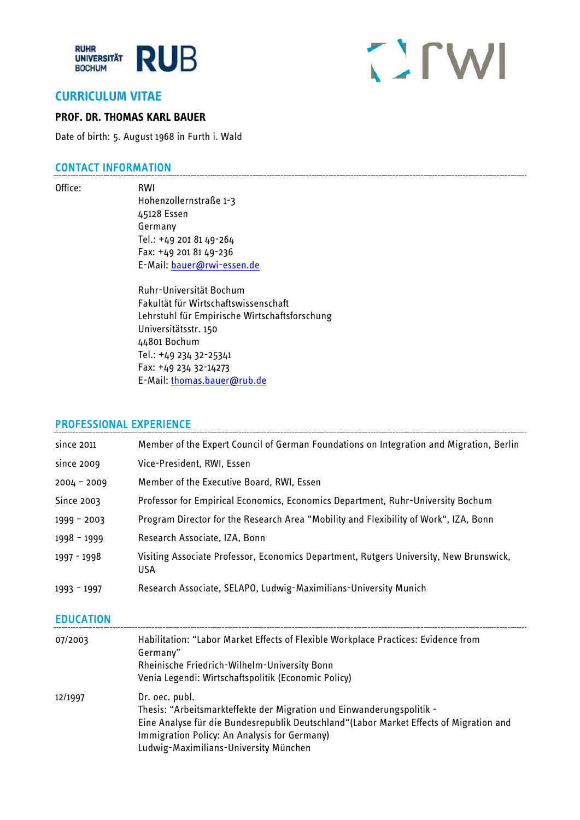

# CITWI

# **CURRICULUM VITAE**

#### **PROF. DR. THOMAS KARL BAUER**

Date of birth: 5. August 1968 in Furth i. Wald

## CONTACT INFORMATION

Office: RWI

Hohenzollernstraße 1-3 45128 Essen Germany Tel.: +49 201 81 49-264 Fax: +49 201 81 49-236 E-Mail: [bauer@rwi-essen.de](mailto:bauer@rwi-essen.de)

Ruhr-Universität Bochum Fakultät für Wirtschaftswissenschaft Lehrstuhl für Empirische Wirtschaftsforschung Universitätsstr. 150 44801 Bochum Tel.: +49 234 32-25341 Fax: +49 234 32-14273 E-Mail: [thomas.bauer@rub.de](mailto:thomas.bauer@rub.de)

#### PROFESSIONAL EXPERIENCE

| since 2011    | Member of the Expert Council of German Foundations on Integration and Migration, Berlin              |
|---------------|------------------------------------------------------------------------------------------------------|
| since 2009    | Vice-President, RWI, Essen                                                                           |
| $2004 - 2009$ | Member of the Executive Board, RWI, Essen                                                            |
| Since 2003    | Professor for Empirical Economics, Economics Department, Ruhr-University Bochum                      |
| 1999 - 2003   | Program Director for the Research Area "Mobility and Flexibility of Work", IZA, Bonn                 |
| $1998 - 1999$ | Research Associate, IZA, Bonn                                                                        |
| 1997 - 1998   | Visiting Associate Professor, Economics Department, Rutgers University, New Brunswick,<br><b>USA</b> |
| $1993 - 1997$ | Research Associate, SELAPO, Ludwig-Maximilians-University Munich                                     |

#### EDUCATION

| 07/2003 | Habilitation: "Labor Market Effects of Flexible Workplace Practices: Evidence from<br>Germany"<br>Rheinische Friedrich-Wilhelm-University Bonn<br>Venia Legendi: Wirtschaftspolitik (Economic Policy)                                                                      |
|---------|----------------------------------------------------------------------------------------------------------------------------------------------------------------------------------------------------------------------------------------------------------------------------|
| 12/1997 | Dr. oec. publ.<br>Thesis: "Arbeitsmarkteffekte der Migration und Einwanderungspolitik -<br>Eine Analyse für die Bundesrepublik Deutschland"(Labor Market Effects of Migration and<br>Immigration Policy: An Analysis for Germany)<br>Ludwig-Maximilians-University München |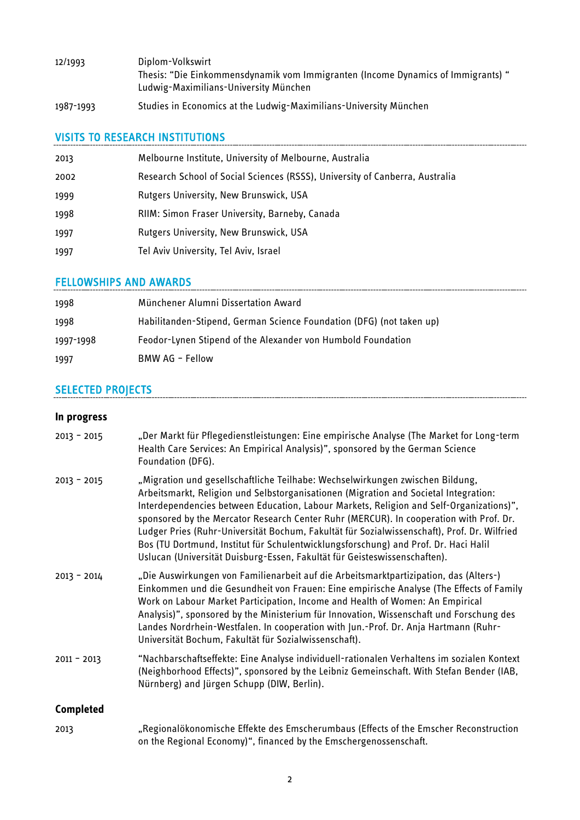| 12/1993 | Diplom-Volkswirt                                                                 |
|---------|----------------------------------------------------------------------------------|
|         | Thesis: "Die Einkommensdynamik vom Immigranten (Income Dynamics of Immigrants) " |
|         | Ludwig-Maximilians-University München                                            |
|         |                                                                                  |

1987-1993 Studies in Economics at the Ludwig-Maximilians-University München

# VISITS TO RESEARCH INSTITUTIONS

| 2013 | Melbourne Institute, University of Melbourne, Australia                      |
|------|------------------------------------------------------------------------------|
| 2002 | Research School of Social Sciences (RSSS), University of Canberra, Australia |
| 1999 | <b>Rutgers University, New Brunswick, USA</b>                                |
| 1998 | RIIM: Simon Fraser University, Barneby, Canada                               |
| 1997 | <b>Rutgers University, New Brunswick, USA</b>                                |
| 1997 | Tel Aviv University, Tel Aviv, Israel                                        |

# FELLOWSHIPS AND AWARDS

| 1998      | Münchener Alumni Dissertation Award                                  |
|-----------|----------------------------------------------------------------------|
| 1998      | Habilitanden-Stipend, German Science Foundation (DFG) (not taken up) |
| 1997-1998 | Feodor-Lynen Stipend of the Alexander von Humbold Foundation         |
| 1997      | BMW AG - Fellow                                                      |

# SELECTED PROJECTS

#### **In progress**

| $2013 - 2015$    | "Der Markt für Pflegedienstleistungen: Eine empirische Analyse (The Market for Long-term<br>Health Care Services: An Empirical Analysis)", sponsored by the German Science<br>Foundation (DFG).                                                                                                                                                                                                                                                                                                                                                                                                                               |
|------------------|-------------------------------------------------------------------------------------------------------------------------------------------------------------------------------------------------------------------------------------------------------------------------------------------------------------------------------------------------------------------------------------------------------------------------------------------------------------------------------------------------------------------------------------------------------------------------------------------------------------------------------|
| $2013 - 2015$    | "Migration und gesellschaftliche Teilhabe: Wechselwirkungen zwischen Bildung,<br>Arbeitsmarkt, Religion und Selbstorganisationen (Migration and Societal Integration:<br>Interdependencies between Education, Labour Markets, Religion and Self-Organizations)",<br>sponsored by the Mercator Research Center Ruhr (MERCUR). In cooperation with Prof. Dr.<br>Ludger Pries (Ruhr-Universität Bochum, Fakultät für Sozialwissenschaft), Prof. Dr. Wilfried<br>Bos (TU Dortmund, Institut für Schulentwicklungsforschung) and Prof. Dr. Haci Halil<br>Uslucan (Universität Duisburg-Essen, Fakultät für Geisteswissenschaften). |
| $2013 - 2014$    | "Die Auswirkungen von Familienarbeit auf die Arbeitsmarktpartizipation, das (Alters-)<br>Einkommen und die Gesundheit von Frauen: Eine empirische Analyse (The Effects of Family<br>Work on Labour Market Participation, Income and Health of Women: An Empirical<br>Analysis)", sponsored by the Ministerium für Innovation, Wissenschaft und Forschung des<br>Landes Nordrhein-Westfalen. In cooperation with Jun.-Prof. Dr. Anja Hartmann (Ruhr-<br>Universität Bochum, Fakultät für Sozialwissenschaft).                                                                                                                  |
| $2011 - 2013$    | "Nachbarschaftseffekte: Eine Analyse individuell-rationalen Verhaltens im sozialen Kontext<br>(Neighborhood Effects)", sponsored by the Leibniz Gemeinschaft. With Stefan Bender (IAB,<br>Nürnberg) and Jürgen Schupp (DIW, Berlin).                                                                                                                                                                                                                                                                                                                                                                                          |
| <b>Completed</b> |                                                                                                                                                                                                                                                                                                                                                                                                                                                                                                                                                                                                                               |
| 2013             | "Regionalökonomische Effekte des Emscherumbaus (Effects of the Emscher Reconstruction<br>on the Regional Economy)", financed by the Emschergenossenschaft.                                                                                                                                                                                                                                                                                                                                                                                                                                                                    |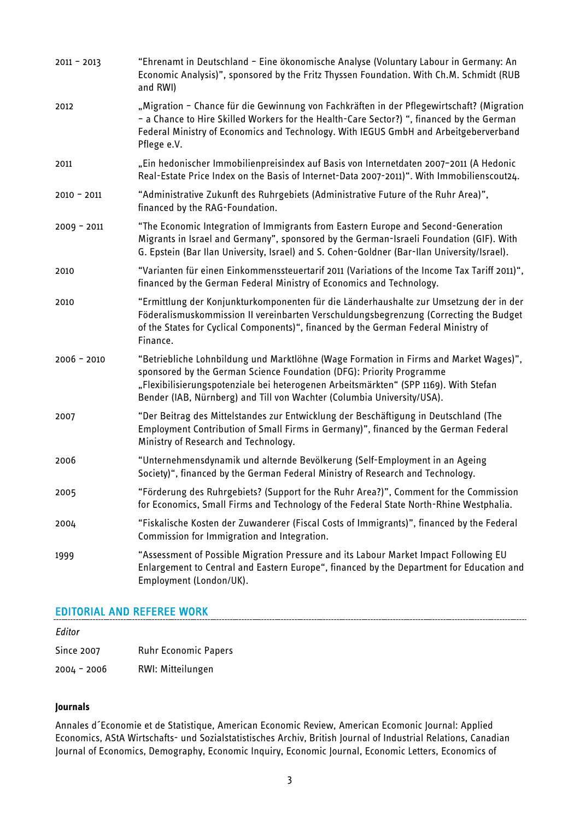| $2011 - 2013$ | "Ehrenamt in Deutschland - Eine ökonomische Analyse (Voluntary Labour in Germany: An<br>Economic Analysis)", sponsored by the Fritz Thyssen Foundation. With Ch.M. Schmidt (RUB<br>and RWI)                                                                                                                                     |
|---------------|---------------------------------------------------------------------------------------------------------------------------------------------------------------------------------------------------------------------------------------------------------------------------------------------------------------------------------|
| 2012          | "Migration - Chance für die Gewinnung von Fachkräften in der Pflegewirtschaft? (Migration<br>- a Chance to Hire Skilled Workers for the Health-Care Sector?) ", financed by the German<br>Federal Ministry of Economics and Technology. With IEGUS GmbH and Arbeitgeberverband<br>Pflege e.V.                                   |
| 2011          | "Ein hedonischer Immobilienpreisindex auf Basis von Internetdaten 2007-2011 (A Hedonic<br>Real-Estate Price Index on the Basis of Internet-Data 2007-2011)". With Immobilienscout24.                                                                                                                                            |
| $2010 - 2011$ | "Administrative Zukunft des Ruhrgebiets (Administrative Future of the Ruhr Area)",<br>financed by the RAG-Foundation.                                                                                                                                                                                                           |
| $2009 - 2011$ | "The Economic Integration of Immigrants from Eastern Europe and Second-Generation<br>Migrants in Israel and Germany", sponsored by the German-Israeli Foundation (GIF). With<br>G. Epstein (Bar Ilan University, Israel) and S. Cohen-Goldner (Bar-Ilan University/Israel).                                                     |
| 2010          | "Varianten für einen Einkommenssteuertarif 2011 (Variations of the Income Tax Tariff 2011)",<br>financed by the German Federal Ministry of Economics and Technology.                                                                                                                                                            |
| 2010          | "Ermittlung der Konjunkturkomponenten für die Länderhaushalte zur Umsetzung der in der<br>Föderalismuskommission II vereinbarten Verschuldungsbegrenzung (Correcting the Budget<br>of the States for Cyclical Components)", financed by the German Federal Ministry of<br>Finance.                                              |
| $2006 - 2010$ | "Betriebliche Lohnbildung und Marktlöhne (Wage Formation in Firms and Market Wages)",<br>sponsored by the German Science Foundation (DFG): Priority Programme<br>"Flexibilisierungspotenziale bei heterogenen Arbeitsmärkten" (SPP 1169). With Stefan<br>Bender (IAB, Nürnberg) and Till von Wachter (Columbia University/USA). |
| 2007          | "Der Beitrag des Mittelstandes zur Entwicklung der Beschäftigung in Deutschland (The<br>Employment Contribution of Small Firms in Germany)", financed by the German Federal<br>Ministry of Research and Technology.                                                                                                             |
| 2006          | "Unternehmensdynamik und alternde Bevölkerung (Self-Employment in an Ageing<br>Society)", financed by the German Federal Ministry of Research and Technology.                                                                                                                                                                   |
| 2005          | "Förderung des Ruhrgebiets? (Support for the Ruhr Area?)", Comment for the Commission<br>for Economics, Small Firms and Technology of the Federal State North-Rhine Westphalia.                                                                                                                                                 |
| 2004          | "Fiskalische Kosten der Zuwanderer (Fiscal Costs of Immigrants)", financed by the Federal<br>Commission for Immigration and Integration.                                                                                                                                                                                        |
| 1999          | "Assessment of Possible Migration Pressure and its Labour Market Impact Following EU<br>Enlargement to Central and Eastern Europe", financed by the Department for Education and<br>Employment (London/UK).                                                                                                                     |

### EDITORIAL AND REFEREE WORK

| Editor      |                             |
|-------------|-----------------------------|
| Since 2007  | <b>Ruhr Economic Papers</b> |
| 2004 - 2006 | RWI: Mitteilungen           |

#### **Journals**

Annales d´Economie et de Statistique, American Economic Review, American Ecomonic Journal: Applied Economics, AStA Wirtschafts- und Sozialstatistisches Archiv, British Journal of Industrial Relations, Canadian Journal of Economics, Demography, Economic Inquiry, Economic Journal, Economic Letters, Economics of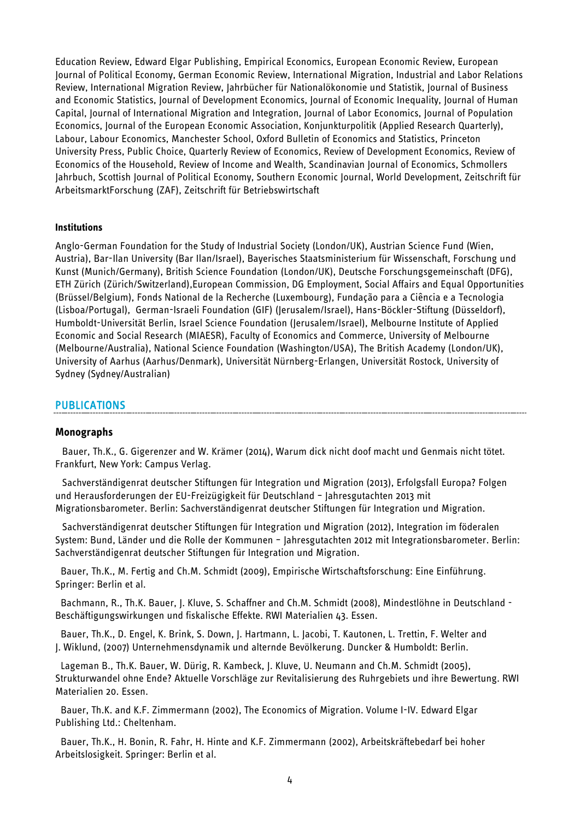Education Review, Edward Elgar Publishing, Empirical Economics, European Economic Review, European Journal of Political Economy, German Economic Review, International Migration, Industrial and Labor Relations Review, International Migration Review, Jahrbücher für Nationalökonomie und Statistik, Journal of Business and Economic Statistics, Journal of Development Economics, Journal of Economic Inequality, Journal of Human Capital, Journal of International Migration and Integration, Journal of Labor Economics, Journal of Population Economics, Journal of the European Economic Association, Konjunkturpolitik (Applied Research Quarterly), Labour, Labour Economics, Manchester School, Oxford Bulletin of Economics and Statistics, Princeton University Press, Public Choice, Quarterly Review of Economics, Review of Development Economics, Review of Economics of the Household, Review of Income and Wealth, Scandinavian Journal of Economics, Schmollers Jahrbuch, Scottish Journal of Political Economy, Southern Economic Journal, World Development, Zeitschrift für ArbeitsmarktForschung (ZAF), Zeitschrift für Betriebswirtschaft

#### **Institutions**

Anglo-German Foundation for the Study of Industrial Society (London/UK), Austrian Science Fund (Wien, Austria), Bar-Ilan University (Bar Ilan/Israel), Bayerisches Staatsministerium für Wissenschaft, Forschung und Kunst (Munich/Germany), British Science Foundation (London/UK), Deutsche Forschungsgemeinschaft (DFG), ETH Zürich (Zürich/Switzerland),European Commission, DG Employment, Social Affairs and Equal Opportunities (Brüssel/Belgium), Fonds National de la Recherche (Luxembourg), Fundação para a Ciência e a Tecnologia (Lisboa/Portugal), German-Israeli Foundation (GIF) (Jerusalem/Israel), Hans-Böckler-Stiftung (Düsseldorf), Humboldt-Universität Berlin, Israel Science Foundation (Jerusalem/Israel), Melbourne Institute of Applied Economic and Social Research (MIAESR), Faculty of Economics and Commerce, University of Melbourne (Melbourne/Australia), National Science Foundation (Washington/USA), The British Academy (London/UK), University of Aarhus (Aarhus/Denmark), Universität Nürnberg-Erlangen, Universität Rostock, University of Sydney (Sydney/Australian)

#### PUBLICATIONS

#### **Monographs**

Bauer, Th.K., G. Gigerenzer and W. Krämer (2014), Warum dick nicht doof macht und Genmais nicht tötet. Frankfurt, New York: Campus Verlag.

[Sachverständigenrat deutscher Stiftungen für Integration und Migration](http://www.rwi-essen.de/bauer) (2013), Erfolgsfall Europa? Folgen und Herausforderungen der EU-Freizügigkeit für Deutschland - Jahresgutachten 2013 mit Migrationsbarometer. Berlin: Sachverständigenrat deutscher Stiftungen für Integration und Migration.

[Sachverständigenrat deutscher Stiftungen für Integration und Migration](http://www.rwi-essen.de/bauer) (2012), Integration im föderalen System: Bund, Länder und die Rolle der Kommunen – Jahresgutachten 2012 mit Integrationsbarometer. Berlin: Sachverständigenrat deutscher Stiftungen für Integration und Migration.

Bauer, Th.K., M. Fertig and Ch.M. Schmidt (2009), Empirische Wirtschaftsforschung: Eine Einführung. Springer: Berlin et al.

Bachmann, R., Th.K. Bauer, J. Kluve, S. Schaffner and Ch.M. Schmidt (2008), Mindestlöhne in Deutschland - Beschäftigungswirkungen und fiskalische Effekte. RWI Materialien 43. Essen.

Bauer, Th.K., D. Engel, K. Brink, S. Down, J. Hartmann, L. Jacobi, T. Kautonen, L. Trettin, F. Welter and J. Wiklund, (2007) Unternehmensdynamik und alternde Bevölkerung. Duncker & Humboldt: Berlin.

Lageman B., Th.K. Bauer, W. Dürig, R. Kambeck, J. Kluve, U. Neumann and Ch.M. Schmidt (2005), Strukturwandel ohne Ende? Aktuelle Vorschläge zur Revitalisierung des Ruhrgebiets und ihre Bewertung. RWI Materialien 20. Essen.

Bauer, Th.K. and K.F. Zimmermann (2002), The Economics of Migration. Volume I-IV. Edward Elgar Publishing Ltd.: Cheltenham.

Bauer, Th.K., H. Bonin, R. Fahr, H. Hinte and K.F. Zimmermann (2002), Arbeitskräftebedarf bei hoher Arbeitslosigkeit. Springer: Berlin et al.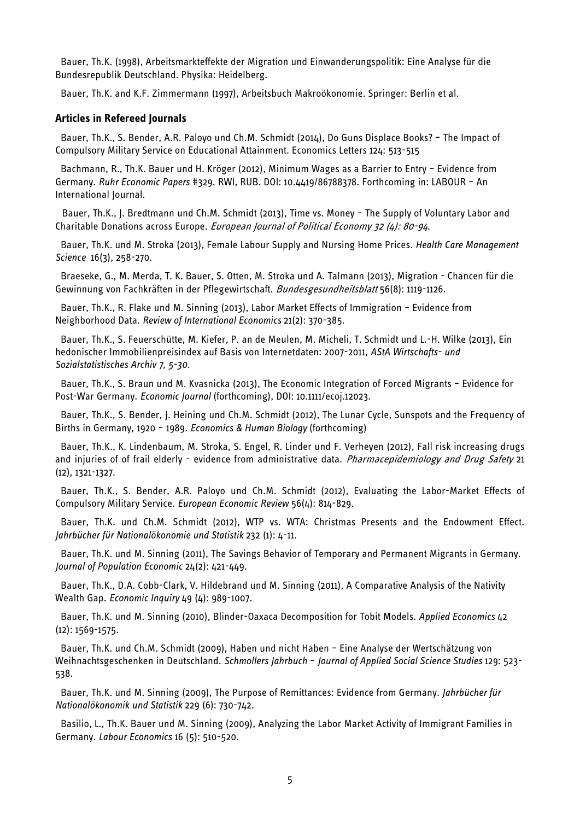Bauer, Th.K. (1998), Arbeitsmarkteffekte der Migration und Einwanderungspolitik: Eine Analyse für die Bundesrepublik Deutschland. Physika: Heidelberg.

Bauer, Th.K. and K.F. Zimmermann (1997), Arbeitsbuch Makroökonomie. Springer: Berlin et al.

#### **Articles in Refereed Journals**

Bauer, Th.K., S. Bender, A.R. Paloyo und Ch.M. Schmidt (2014), Do Guns Displace Books? – The Impact of Compulsory Military Service on Educational Attainment. Economics Letters 124: 513-515

[Bachmann, R.,](http://www.rwi-essen.de/ronald-bachmann) [Th.K. Bauer](http://www.rwi-essen.de/bauer) und [H. Kröger](http://www.rwi-essen.de/hanna-kroeger) (2012), [Minimum Wages as a Barrier to Entry –](http://www.rwi-essen.de/publikationen/ruhr-economic-papers/455/) Evidence from [Germany.](http://www.rwi-essen.de/publikationen/ruhr-economic-papers/455/) *Ruhr Economic Papers* #329. RWI, RUB. DOI: [10.4419/86788378.](http://dx.doi.org/10.4419/86788378) Forthcoming in: LABOUR – An International Journal.

Bauer, Th.K., J. Bredtmann und Ch.M. Schmidt (2013), Time vs. Money – The Supply of Voluntary Labor and Charitable Donations across Europe. *European Journal of Political Economy 32 (4): 80-94*.

[Bauer, Th.K.](http://www.rwi-essen.de/bauer) und [M. Stroka](http://www.rwi-essen.de/magdalena-stroka) (2013), Female Labour Supply and Nursing Home Prices. *Health Care Management Science* 16(3), 258-270.

Braeseke, G., M. Merda, T. K. Bauer, S. Otten, M. Stroka und A. Talmann (2013), Migration - Chancen für die Gewinnung von Fachkräften in der Pflegewirtschaft. Bundesgesundheitsblatt 56(8): 1119-1126.

Bauer, Th.K., R. Flake und M. Sinning (2013), Labor Market Effects of Immigration – Evidence from Neighborhood Data. *Review of International Economics* 21(2): 370-385.

Bauer, Th.K., S. Feuerschütte, M. Kiefer, P. an de Meulen, M. Micheli, T. Schmidt und L.-H. Wilke (2013), Ein hedonischer Immobilienpreisindex auf Basis von Internetdaten: 2007-2011, *AStA Wirtschafts- und Sozialstatistisches Archiv 7, 5-30.*

Bauer, Th.K., S. Braun und M. Kvasnicka (2013), The Economic Integration of Forced Migrants – Evidence for Post-War Germany. *Economic Journal* (forthcoming), DOI: 10.1111/ecoj.12023.

[Bauer, Th.K.,](http://www.rwi-essen.de/bauer) S. Bender, J. Heining und [Ch.M. Schmidt](http://www.rwi-essen.de/schmidt) (2012), The Lunar Cycle, Sunspots and the Frequency of Births in Germany, 1920 – 1989. *Economics & Human Biology* (forthcoming)

[Bauer, Th.K.,](http://www.rwi-essen.de/bauer) K. Lindenbaum, [M. Stroka,](http://www.rwi-essen.de/magdalena-stroka) S. Engel, R. Linder und F. Verheyen (2012), Fall risk increasing drugs and injuries of of frail elderly - evidence from administrative data. Pharmacepidemiology and Drug Safety 21 (12), 1321-1327.

Bauer, Th.K., S. Bender, A.R. Paloyo und Ch.M. Schmidt (2012), Evaluating the Labor-Market Effects of Compulsory Military Service. *European Economic Review* 56(4): 814-829.

Bauer, Th.K. und Ch.M. Schmidt (2012), WTP vs. WTA: Christmas Presents and the Endowment Effect. *Jahrbücher für Nationalökonomie und Statistik* 232 (1): 4-11.

Bauer, Th.K. und M. Sinning (2011), The Savings Behavior of Temporary and Permanent Migrants in Germany. *Journal of Population Economic* 24(2): 421-449.

Bauer, Th.K., D.A. Cobb-Clark, V. Hildebrand und M. Sinning (2011), A Comparative Analysis of the Nativity Wealth Gap. *Economic Inquiry* 49 (4): 989-1007.

Bauer, Th.K. und M. Sinning (2010), Blinder-Oaxaca Decomposition for Tobit Models. *Applied Economics* 42 (12): 1569-1575.

Bauer, Th.K. und Ch.M. Schmidt (2009), Haben und nicht Haben – Eine Analyse der Wertschätzung von Weihnachtsgeschenken in Deutschland. *Schmollers Jahrbuch* – *Journal of Applied Social Science Studies* 129: 523- 538.

Bauer, Th.K. und M. Sinning (2009), The Purpose of Remittances: Evidence from Germany. *Jahrbücher für Nationalökonomik und Statistik* 229 (6): 730-742.

Basilio, L., Th.K. Bauer und M. Sinning (2009), Analyzing the Labor Market Activity of Immigrant Families in Germany. *Labour Economics* 16 (5): 510-520.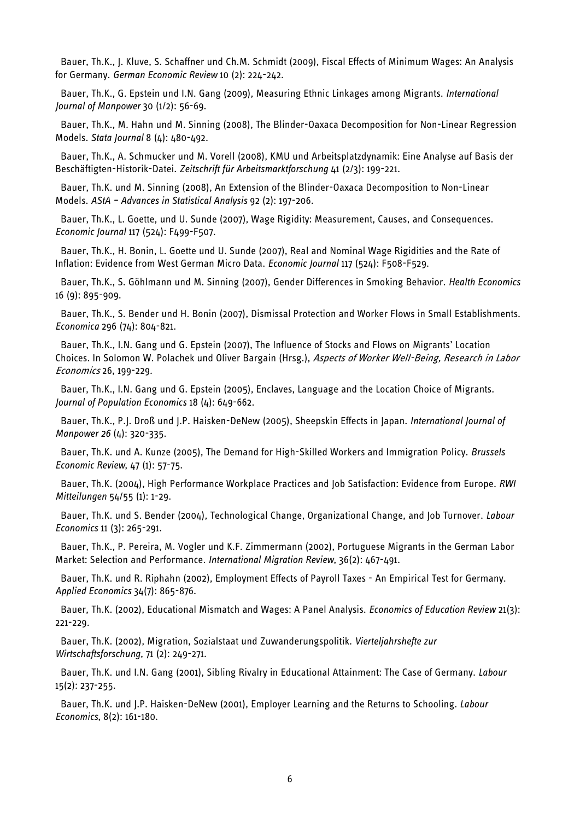Bauer, Th.K., J. Kluve, S. Schaffner und Ch.M. Schmidt (2009), Fiscal Effects of Minimum Wages: An Analysis for Germany. *German Economic Review* 10 (2): 224-242.

Bauer, Th.K., G. Epstein und I.N. Gang (2009), Measuring Ethnic Linkages among Migrants. *International Journal of Manpower* 30 (1/2): 56-69.

Bauer, Th.K., M. Hahn und M. Sinning (2008), The Blinder-Oaxaca Decomposition for Non-Linear Regression Models. *Stata Journal* 8 (4): 480-492.

Bauer, Th.K., A. Schmucker und M. Vorell (2008), KMU und Arbeitsplatzdynamik: Eine Analyse auf Basis der Beschäftigten-Historik-Datei. *Zeitschrift für Arbeitsmarktforschung* 41 (2/3): 199-221.

Bauer, Th.K. und M. Sinning (2008), An Extension of the Blinder-Oaxaca Decomposition to Non-Linear Models. *AStA – Advances in Statistical Analysis* 92 (2): 197-206.

Bauer, Th.K., L. Goette, und U. Sunde (2007), Wage Rigidity: Measurement, Causes, and Consequences. *Economic Journal* 117 (524): F499-F507.

Bauer, Th.K., H. Bonin, L. Goette und U. Sunde (2007), Real and Nominal Wage Rigidities and the Rate of Inflation: Evidence from West German Micro Data. *Economic Journal* 117 (524): F508-F529.

Bauer, Th.K., S. Göhlmann und M. Sinning (2007), Gender Differences in Smoking Behavior. *Health Economics* 16 (9): 895-909.

Bauer, Th.K., S. Bender und H. Bonin (2007), Dismissal Protection and Worker Flows in Small Establishments. *Economica* 296 (74): 804-821.

Bauer, Th.K., I.N. Gang und G. Epstein (2007), The Influence of Stocks and Flows on Migrants' Location Choices. In Solomon W. Polachek und Oliver Bargain (Hrsg.), Aspects of Worker Well-Being, Research in Labor Economics 26, 199-229.

Bauer, Th.K., I.N. Gang und G. Epstein (2005), Enclaves, Language and the Location Choice of Migrants. *Journal of Population Economics* 18 (4): 649-662.

Bauer, Th.K., P.J. Droß und J.P. Haisken-DeNew (2005), Sheepskin Effects in Japan. *International Journal of Manpower 26* (4): 320-335.

Bauer, Th.K. und A. Kunze (2005), The Demand for High-Skilled Workers and Immigration Policy. *Brussels Economic Review*, 47 (1): 57-75.

Bauer, Th.K. (2004), High Performance Workplace Practices and Job Satisfaction: Evidence from Europe. *RWI Mitteilungen* 54/55 (1): 1-29.

Bauer, Th.K. und S. Bender (2004), Technological Change, Organizational Change, and Job Turnover. *Labour Economics* 11 (3): 265-291.

Bauer, Th.K., P. Pereira, M. Vogler und K.F. Zimmermann (2002), Portuguese Migrants in the German Labor Market: Selection and Performance. *International Migration Review*, 36(2): 467-491.

Bauer, Th.K. und R. Riphahn (2002), Employment Effects of Payroll Taxes - An Empirical Test for Germany. *Applied Economics* 34(7): 865-876.

Bauer, Th.K. (2002), Educational Mismatch and Wages: A Panel Analysis. *Economics of Education Review* 21(3): 221-229.

Bauer, Th.K. (2002), Migration, Sozialstaat und Zuwanderungspolitik. *Vierteljahrshefte zur Wirtschaftsforschung*, 71 (2): 249-271.

Bauer, Th.K. und I.N. Gang (2001), Sibling Rivalry in Educational Attainment: The Case of Germany. *Labour*  15(2): 237-255.

Bauer, Th.K. und J.P. Haisken-DeNew (2001), Employer Learning and the Returns to Schooling. *Labour Economics*, 8(2): 161-180.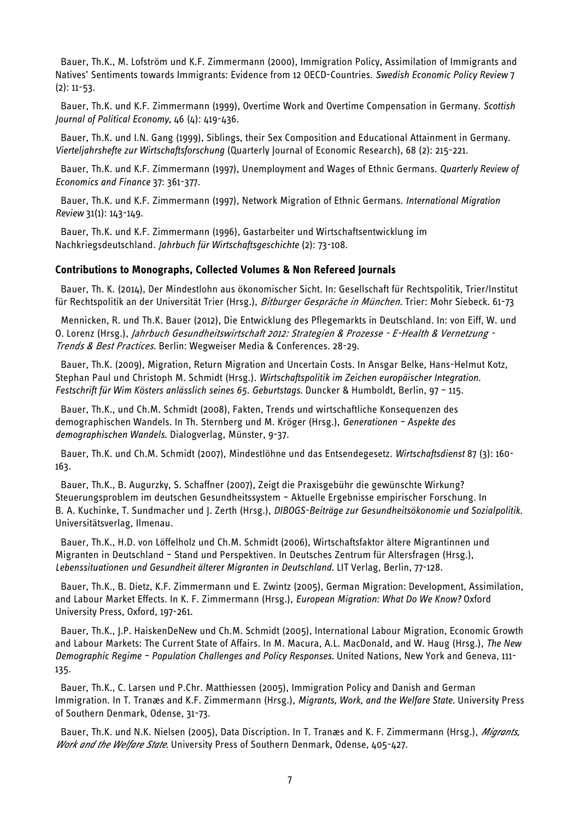Bauer, Th.K., M. Lofström und K.F. Zimmermann (2000), Immigration Policy, Assimilation of Immigrants and Natives' Sentiments towards Immigrants: Evidence from 12 OECD-Countries. *Swedish Economic Policy Review* 7  $(2): 11-53.$ 

Bauer, Th.K. und K.F. Zimmermann (1999), Overtime Work and Overtime Compensation in Germany. *Scottish Journal of Political Economy*, 46 (4): 419-436.

Bauer, Th.K. und I.N. Gang (1999), Siblings, their Sex Composition and Educational Attainment in Germany. *Vierteljahrshefte zur Wirtschaftsforschung* (Quarterly Journal of Economic Research), 68 (2): 215-221.

Bauer, Th.K. und K.F. Zimmermann (1997), Unemployment and Wages of Ethnic Germans. *Quarterly Review of Economics and Finance* 37: 361-377.

Bauer, Th.K. und K.F. Zimmermann (1997), Network Migration of Ethnic Germans. *International Migration Review* 31(1): 143-149.

Bauer, Th.K. und K.F. Zimmermann (1996), Gastarbeiter und Wirtschaftsentwicklung im Nachkriegsdeutschland. *Jahrbuch für Wirtschaftsgeschichte* (2): 73-108.

#### **Contributions to Monographs, Collected Volumes & Non Refereed Journals**

Bauer, Th. K. (2014), Der Mindestlohn aus ökonomischer Sicht. In: Gesellschaft für Rechtspolitik, Trier/Institut für Rechtspolitik an der Universität Trier (Hrsg.), Bitburger Gespräche in München. Trier: Mohr Siebeck. 61-73

[Mennicken,](http://www.rwi-essen.de/roman-mennicken) R. und Th.K. Bauer (2012), Die Entwicklung des Pflegemarkts in Deutschland. In: von Eiff, W. und O. Lorenz (Hrsg.), Jahrbuch Gesundheitswirtschaft 2012: Strategien & Prozesse - E-Health & Vernetzung -Trends & Best Practices. Berlin: Wegweiser Media & Conferences. 28-29.

Bauer, Th.K. (2009), Migration, Return Migration and Uncertain Costs. In Ansgar Belke, Hans-Helmut Kotz, Stephan Paul und Christoph M. Schmidt (Hrsg.). *Wirtschaftspolitik im Zeichen europäischer Integration. Festschrift für Wim Kösters anlässlich seines 65. Geburtstags.* Duncker & Humboldt, Berlin, 97 – 115.

Bauer, Th.K., und Ch.M. Schmidt (2008), Fakten, Trends und wirtschaftliche Konsequenzen des demographischen Wandels. In Th. Sternberg und M. Kröger (Hrsg.), *Generationen – Aspekte des demographischen Wandels*. Dialogverlag, Münster, 9-37.

Bauer, Th.K. und Ch.M. Schmidt (2007), Mindestlöhne und das Entsendegesetz. *Wirtschaftsdienst* 87 (3): 160- 163.

Bauer, Th.K., B. Augurzky, S. Schaffner (2007), Zeigt die Praxisgebühr die gewünschte Wirkung? Steuerungsproblem im deutschen Gesundheitssystem – Aktuelle Ergebnisse empirischer Forschung. In B. A. Kuchinke, T. Sundmacher und J. Zerth (Hrsg.), *DIBOGS-Beiträge zur Gesundheitsökonomie und Sozialpolitik*. Universitätsverlag, Ilmenau.

Bauer, Th.K., H.D. von Löffelholz und Ch.M. Schmidt (2006), Wirtschaftsfaktor ältere Migrantinnen und Migranten in Deutschland – Stand und Perspektiven. In Deutsches Zentrum für Altersfragen (Hrsg.), *Lebenssituationen und Gesundheit älterer Migranten in Deutschland.* LIT Verlag, Berlin, 77-128.

Bauer, Th.K., B. Dietz, K.F. Zimmermann und E. Zwintz (2005), German Migration: Development, Assimilation, and Labour Market Effects. In K. F. Zimmermann (Hrsg.), *European Migration: What Do We Know?* Oxford University Press, Oxford, 197-261.

Bauer, Th.K., J.P. HaiskenDeNew und Ch.M. Schmidt (2005), International Labour Migration, Economic Growth and Labour Markets: The Current State of Affairs. In M. Macura, A.L. MacDonald, and W. Haug (Hrsg.), *The New Demographic Regime – Population Challenges and Policy Responses.* United Nations, New York and Geneva, 111- 135.

Bauer, Th.K., C. Larsen und P.Chr. Matthiessen (2005), Immigration Policy and Danish and German Immigration. In T. Tranæs and K.F. Zimmermann (Hrsg.), *Migrants, Work, and the Welfare State.* University Press of Southern Denmark, Odense, 31-73.

Bauer, Th.K. und N.K. Nielsen (2005), Data Discription. In T. Tranæs and K. F. Zimmermann (Hrsg.), *Migrants, Work and the Welfare State.* University Press of Southern Denmark, Odense, 405-427.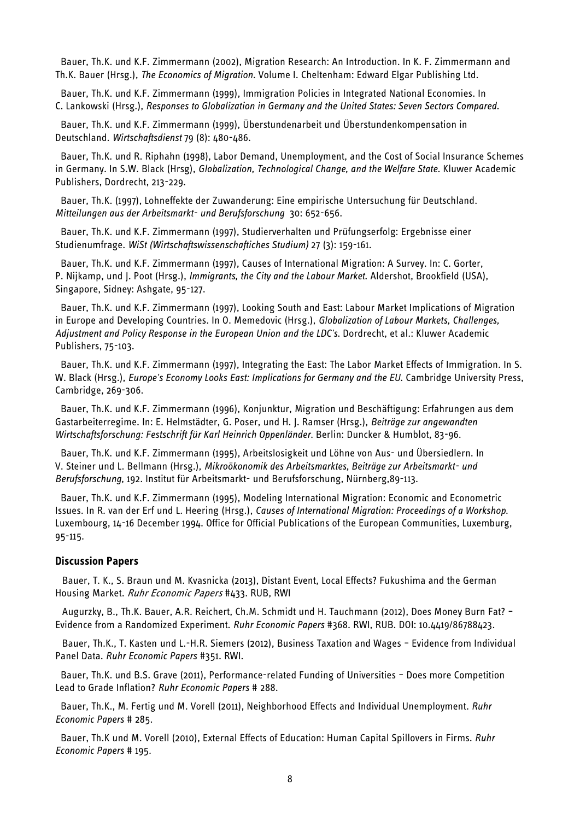Bauer, Th.K. und K.F. Zimmermann (2002), Migration Research: An Introduction. In K. F. Zimmermann and Th.K. Bauer (Hrsg.), *The Economics of Migration*. Volume I. Cheltenham: Edward Elgar Publishing Ltd.

Bauer, Th.K. und K.F. Zimmermann (1999), Immigration Policies in Integrated National Economies. In C. Lankowski (Hrsg.), *Responses to Globalization in Germany and the United States: Seven Sectors Compared*.

Bauer, Th.K. und K.F. Zimmermann (1999), Überstundenarbeit und Überstundenkompensation in Deutschland. *Wirtschaftsdienst* 79 (8): 480-486.

Bauer, Th.K. und R. Riphahn (1998), Labor Demand, Unemployment, and the Cost of Social Insurance Schemes in Germany. In S.W. Black (Hrsg), *Globalization, Technological Change, and the Welfare State*. Kluwer Academic Publishers, Dordrecht, 213-229.

Bauer, Th.K. (1997), Lohneffekte der Zuwanderung: Eine empirische Untersuchung für Deutschland. *Mitteilungen aus der Arbeitsmarkt- und Berufsforschung* 30: 652-656.

Bauer, Th.K. und K.F. Zimmermann (1997), Studierverhalten und Prüfungserfolg: Ergebnisse einer Studienumfrage. *WiSt (Wirtschaftswissenschaftiches Studium)* 27 (3): 159-161.

Bauer, Th.K. und K.F. Zimmermann (1997), Causes of International Migration: A Survey. In: C. Gorter, P. Nijkamp, und J. Poot (Hrsg.), *Immigrants, the City and the Labour Market*. Aldershot, Brookfield (USA), Singapore, Sidney: Ashgate, 95-127.

Bauer, Th.K. und K.F. Zimmermann (1997), Looking South and East: Labour Market Implications of Migration in Europe and Developing Countries. In O. Memedovic (Hrsg.), *Globalization of Labour Markets, Challenges, Adjustment and Policy Response in the European Union and the LDC's.* Dordrecht, et al.: Kluwer Academic Publishers, 75-103.

Bauer, Th.K. und K.F. Zimmermann (1997), Integrating the East: The Labor Market Effects of Immigration. In S. W. Black (Hrsg.), *Europe's Economy Looks East: Implications for Germany and the EU*. Cambridge University Press, Cambridge, 269-306.

Bauer, Th.K. und K.F. Zimmermann (1996), Konjunktur, Migration und Beschäftigung: Erfahrungen aus dem Gastarbeiterregime. In: E. Helmstädter, G. Poser, und H. J. Ramser (Hrsg.), *Beiträge zur angewandten Wirtschaftsforschung: Festschrift für Karl Heinrich Oppenländer.* Berlin: Duncker & Humblot, 83-96.

Bauer, Th.K. und K.F. Zimmermann (1995), Arbeitslosigkeit und Löhne von Aus- und Übersiedlern. In V. Steiner und L. Bellmann (Hrsg.), *Mikroökonomik des Arbeitsmarktes, Beiträge zur Arbeitsmarkt- und Berufsforschung*, 192. Institut für Arbeitsmarkt- und Berufsforschung, Nürnberg,89-113.

Bauer, Th.K. und K.F. Zimmermann (1995), Modeling International Migration: Economic and Econometric Issues. In R. van der Erf und L. Heering (Hrsg.), *Causes of International Migration: Proceedings of a Workshop.* Luxembourg, 14-16 December 1994. Office for Official Publications of the European Communities, Luxemburg, 95-115.

#### **Discussion Papers**

Bauer, T. K., S. Braun und M. Kvasnicka (2013), Distant Event, Local Effects? Fukushima and the German Housing Market. Ruhr Economic Papers #433. RUB, RWI

[Augurzky, B.,](http://www.rwi-essen.de/augurzky) [Th.K. Bauer,](http://www.rwi-essen.de/bauer) [A.R. Reichert,](http://www.rwi-essen.de/arndt-reichert) [Ch.M. Schmidt](http://www.rwi-essen.de/schmidt) und [H. Tauchmann](http://www.rwi-essen.de/tauchmann) (2012), [Does Money Burn Fat? –](http://www.rwi-essen.de/publikationen/ruhr-economic-papers/494/) [Evidence from a Randomized Experiment.](http://www.rwi-essen.de/publikationen/ruhr-economic-papers/494/) *Ruhr Economic Papers* #368. RWI, RUB. DOI: [10.4419/86788423.](http://dx.doi.org/10.4419/86788423)

[Bauer,](http://www.rwi-essen.de/bauer) Th.K., [T. Kasten](http://www.rwi-essen.de/kasten) und L.-H.R. Siemers (2012), Business Taxation and Wages – Evidence from Individual Panel Data. *Ruhr Economic Papers* #351. RWI.

Bauer, Th.K. und B.S. Grave (2011), Performance-related Funding of Universities – Does more Competition Lead to Grade Inflation? *Ruhr Economic Papers* # 288.

Bauer, Th.K., M. Fertig und M. Vorell (2011), Neighborhood Effects and Individual Unemployment. *Ruhr Economic Papers* # 285.

Bauer, Th.K und M. Vorell (2010), External Effects of Education: Human Capital Spillovers in Firms. *Ruhr Economic Papers* # 195.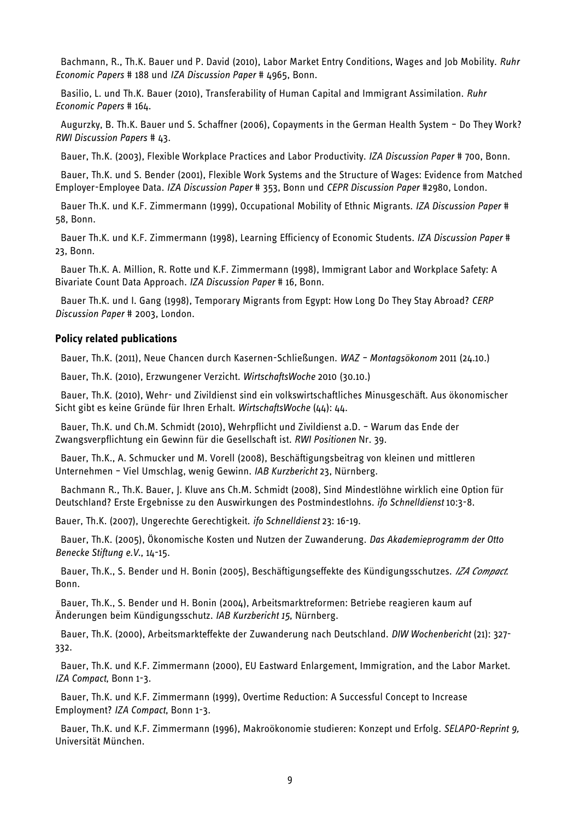Bachmann, R., Th.K. Bauer und P. David (2010), Labor Market Entry Conditions, Wages and Job Mobility. *Ruhr Economic Papers* # 188 und *IZA Discussion Paper* # 4965, Bonn.

Basilio, L. und Th.K. Bauer (2010), Transferability of Human Capital and Immigrant Assimilation. *Ruhr Economic Papers* # 164.

Augurzky, B. Th.K. Bauer und S. Schaffner (2006), Copayments in the German Health System – Do They Work? *RWI Discussion Papers* # 43.

Bauer, Th.K. (2003), Flexible Workplace Practices and Labor Productivity. *IZA Discussion Paper* # 700, Bonn.

Bauer, Th.K. und S. Bender (2001), Flexible Work Systems and the Structure of Wages: Evidence from Matched Employer-Employee Data. *IZA Discussion Paper* # 353, Bonn und *CEPR Discussion Paper* #2980, London.

Bauer Th.K. und K.F. Zimmermann (1999), Occupational Mobility of Ethnic Migrants. *IZA Discussion Paper* # 58, Bonn.

Bauer Th.K. und K.F. Zimmermann (1998), Learning Efficiency of Economic Students. *IZA Discussion Paper* # 23, Bonn.

Bauer Th.K. A. Million, R. Rotte und K.F. Zimmermann (1998), Immigrant Labor and Workplace Safety: A Bivariate Count Data Approach. *IZA Discussion Paper* # 16*,* Bonn.

Bauer Th.K. und I. Gang (1998), Temporary Migrants from Egypt: How Long Do They Stay Abroad? *CERP Discussion Paper* # 2003, London.

#### **Policy related publications**

Bauer, Th.K. (2011), Neue Chancen durch Kasernen-Schließungen. *WAZ – Montagsökonom* 2011 (24.10.)

Bauer, Th.K. (2010), Erzwungener Verzicht. *WirtschaftsWoche* 2010 (30.10.)

Bauer, Th.K. (2010), Wehr- und Zivildienst sind ein volkswirtschaftliches Minusgeschäft. Aus ökonomischer Sicht gibt es keine Gründe für Ihren Erhalt. *WirtschaftsWoche* (44): 44.

Bauer, Th.K. und Ch.M. Schmidt (2010), Wehrpflicht und Zivildienst a.D. – Warum das Ende der Zwangsverpflichtung ein Gewinn für die Gesellschaft ist. *RWI Positionen* Nr. 39.

Bauer, Th.K., A. Schmucker und M. Vorell (2008), Beschäftigungsbeitrag von kleinen und mittleren Unternehmen – Viel Umschlag, wenig Gewinn. *IAB Kurzbericht* 23, Nürnberg.

Bachmann R., Th.K. Bauer, J. Kluve ans Ch.M. Schmidt (2008), Sind Mindestlöhne wirklich eine Option für Deutschland? Erste Ergebnisse zu den Auswirkungen des Postmindestlohns. *ifo Schnelldienst* 10:3-8.

Bauer, Th.K. (2007), Ungerechte Gerechtigkeit. *ifo Schnelldienst* 23: 16-19.

Bauer, Th.K. (2005), Ökonomische Kosten und Nutzen der Zuwanderung. *Das Akademieprogramm der Otto Benecke Stiftung e.V.*, 14-15.

Bauer, Th.K., S. Bender und H. Bonin (2005), Beschäftigungseffekte des Kündigungsschutzes. *IZA Compact.* Bonn.

Bauer, Th.K., S. Bender und H. Bonin (2004), Arbeitsmarktreformen: Betriebe reagieren kaum auf Änderungen beim Kündigungsschutz. *IAB Kurzbericht 15*, Nürnberg.

Bauer, Th.K. (2000), Arbeitsmarkteffekte der Zuwanderung nach Deutschland. *DIW Wochenbericht* (21): 327- 332.

Bauer, Th.K. und K.F. Zimmermann (2000), EU Eastward Enlargement, Immigration, and the Labor Market. *IZA Compact*, Bonn 1-3.

Bauer, Th.K. und K.F. Zimmermann (1999), Overtime Reduction: A Successful Concept to Increase Employment? *IZA Compact*, Bonn 1-3.

Bauer, Th.K. und K.F. Zimmermann (1996), Makroökonomie studieren: Konzept und Erfolg. *SELAPO-Reprint 9*, Universität München.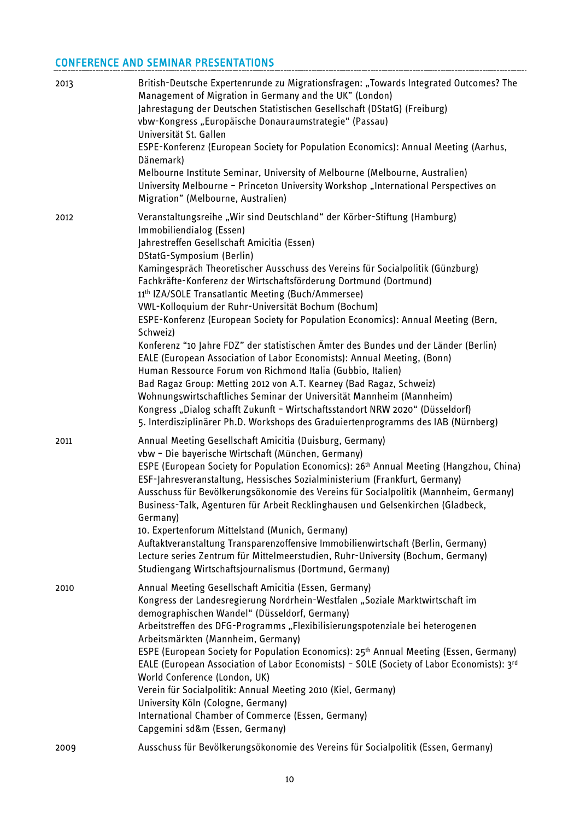# CONFERENCE AND SEMINAR PRESENTATIONS

| 2013 | British-Deutsche Expertenrunde zu Migrationsfragen: "Towards Integrated Outcomes? The<br>Management of Migration in Germany and the UK" (London)<br>Jahrestagung der Deutschen Statistischen Gesellschaft (DStatG) (Freiburg)<br>vbw-Kongress "Europäische Donauraumstrategie" (Passau)<br>Universität St. Gallen<br>ESPE-Konferenz (European Society for Population Economics): Annual Meeting (Aarhus,<br>Dänemark)<br>Melbourne Institute Seminar, University of Melbourne (Melbourne, Australien)<br>University Melbourne - Princeton University Workshop "International Perspectives on<br>Migration" (Melbourne, Australien)                                                                                                                                                                                                                                                                                                                                                                                                                                                                           |
|------|--------------------------------------------------------------------------------------------------------------------------------------------------------------------------------------------------------------------------------------------------------------------------------------------------------------------------------------------------------------------------------------------------------------------------------------------------------------------------------------------------------------------------------------------------------------------------------------------------------------------------------------------------------------------------------------------------------------------------------------------------------------------------------------------------------------------------------------------------------------------------------------------------------------------------------------------------------------------------------------------------------------------------------------------------------------------------------------------------------------|
| 2012 | Veranstaltungsreihe "Wir sind Deutschland" der Körber-Stiftung (Hamburg)<br>Immobiliendialog (Essen)<br>Jahrestreffen Gesellschaft Amicitia (Essen)<br>DStatG-Symposium (Berlin)<br>Kamingespräch Theoretischer Ausschuss des Vereins für Socialpolitik (Günzburg)<br>Fachkräfte-Konferenz der Wirtschaftsförderung Dortmund (Dortmund)<br>11th IZA/SOLE Transatlantic Meeting (Buch/Ammersee)<br>VWL-Kolloquium der Ruhr-Universität Bochum (Bochum)<br>ESPE-Konferenz (European Society for Population Economics): Annual Meeting (Bern,<br>Schweiz)<br>Konferenz "10 Jahre FDZ" der statistischen Ämter des Bundes und der Länder (Berlin)<br>EALE (European Association of Labor Economists): Annual Meeting, (Bonn)<br>Human Ressource Forum von Richmond Italia (Gubbio, Italien)<br>Bad Ragaz Group: Metting 2012 von A.T. Kearney (Bad Ragaz, Schweiz)<br>Wohnungswirtschaftliches Seminar der Universität Mannheim (Mannheim)<br>Kongress "Dialog schafft Zukunft - Wirtschaftsstandort NRW 2020" (Düsseldorf)<br>5. Interdisziplinärer Ph.D. Workshops des Graduiertenprogramms des IAB (Nürnberg) |
| 2011 | Annual Meeting Gesellschaft Amicitia (Duisburg, Germany)<br>vbw - Die bayerische Wirtschaft (München, Germany)<br>ESPE (European Society for Population Economics): 26 <sup>th</sup> Annual Meeting (Hangzhou, China)<br>ESF-Jahresveranstaltung, Hessisches Sozialministerium (Frankfurt, Germany)<br>Ausschuss für Bevölkerungsökonomie des Vereins für Socialpolitik (Mannheim, Germany)<br>Business-Talk, Agenturen für Arbeit Recklinghausen und Gelsenkirchen (Gladbeck,<br>Germany)<br>10. Expertenforum Mittelstand (Munich, Germany)<br>Auftaktveranstaltung Transparenzoffensive Immobilienwirtschaft (Berlin, Germany)<br>Lecture series Zentrum für Mittelmeerstudien, Ruhr-University (Bochum, Germany)<br>Studiengang Wirtschaftsjournalismus (Dortmund, Germany)                                                                                                                                                                                                                                                                                                                              |
| 2010 | Annual Meeting Gesellschaft Amicitia (Essen, Germany)<br>Kongress der Landesregierung Nordrhein-Westfalen "Soziale Marktwirtschaft im<br>demographischen Wandel" (Düsseldorf, Germany)<br>Arbeitstreffen des DFG-Programms "Flexibilisierungspotenziale bei heterogenen<br>Arbeitsmärkten (Mannheim, Germany)<br>ESPE (European Society for Population Economics): 25 <sup>th</sup> Annual Meeting (Essen, Germany)<br>EALE (European Association of Labor Economists) - SOLE (Society of Labor Economists): 3rd<br>World Conference (London, UK)<br>Verein für Socialpolitik: Annual Meeting 2010 (Kiel, Germany)<br>University Köln (Cologne, Germany)<br>International Chamber of Commerce (Essen, Germany)<br>Capgemini sd&m (Essen, Germany)                                                                                                                                                                                                                                                                                                                                                            |
| 2009 | Ausschuss für Bevölkerungsökonomie des Vereins für Socialpolitik (Essen, Germany)                                                                                                                                                                                                                                                                                                                                                                                                                                                                                                                                                                                                                                                                                                                                                                                                                                                                                                                                                                                                                            |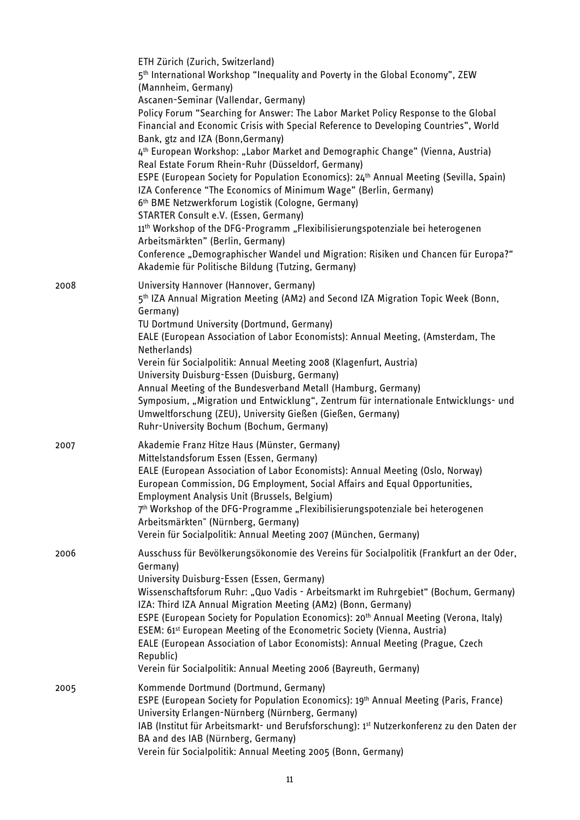|      | ETH Zürich (Zurich, Switzerland)<br>5 <sup>th</sup> International Workshop "Inequality and Poverty in the Global Economy", ZEW<br>(Mannheim, Germany)<br>Ascanen-Seminar (Vallendar, Germany)<br>Policy Forum "Searching for Answer: The Labor Market Policy Response to the Global<br>Financial and Economic Crisis with Special Reference to Developing Countries", World<br>Bank, gtz and IZA (Bonn, Germany)<br>4 <sup>th</sup> European Workshop: "Labor Market and Demographic Change" (Vienna, Austria)<br>Real Estate Forum Rhein-Ruhr (Düsseldorf, Germany)<br>ESPE (European Society for Population Economics): 24th Annual Meeting (Sevilla, Spain)<br>IZA Conference "The Economics of Minimum Wage" (Berlin, Germany)<br>6th BME Netzwerkforum Logistik (Cologne, Germany)<br>STARTER Consult e.V. (Essen, Germany)<br>11 <sup>th</sup> Workshop of the DFG-Programm "Flexibilisierungspotenziale bei heterogenen<br>Arbeitsmärkten" (Berlin, Germany)<br>Conference "Demographischer Wandel und Migration: Risiken und Chancen für Europa?"<br>Akademie für Politische Bildung (Tutzing, Germany) |
|------|-----------------------------------------------------------------------------------------------------------------------------------------------------------------------------------------------------------------------------------------------------------------------------------------------------------------------------------------------------------------------------------------------------------------------------------------------------------------------------------------------------------------------------------------------------------------------------------------------------------------------------------------------------------------------------------------------------------------------------------------------------------------------------------------------------------------------------------------------------------------------------------------------------------------------------------------------------------------------------------------------------------------------------------------------------------------------------------------------------------------|
| 2008 | University Hannover (Hannover, Germany)<br>5 <sup>th</sup> IZA Annual Migration Meeting (AM2) and Second IZA Migration Topic Week (Bonn,<br>Germany)<br>TU Dortmund University (Dortmund, Germany)<br>EALE (European Association of Labor Economists): Annual Meeting, (Amsterdam, The<br>Netherlands)<br>Verein für Socialpolitik: Annual Meeting 2008 (Klagenfurt, Austria)<br>University Duisburg-Essen (Duisburg, Germany)<br>Annual Meeting of the Bundesverband Metall (Hamburg, Germany)<br>Symposium, "Migration und Entwicklung", Zentrum für internationale Entwicklungs- und<br>Umweltforschung (ZEU), University Gießen (Gießen, Germany)<br>Ruhr-University Bochum (Bochum, Germany)                                                                                                                                                                                                                                                                                                                                                                                                               |
| 2007 | Akademie Franz Hitze Haus (Münster, Germany)<br>Mittelstandsforum Essen (Essen, Germany)<br>EALE (European Association of Labor Economists): Annual Meeting (Oslo, Norway)<br>European Commission, DG Employment, Social Affairs and Equal Opportunities,<br>Employment Analysis Unit (Brussels, Belgium)<br>7 <sup>th</sup> Workshop of the DFG-Programme "Flexibilisierungspotenziale bei heterogenen<br>Arbeitsmärkten" (Nürnberg, Germany)<br>Verein für Socialpolitik: Annual Meeting 2007 (München, Germany)                                                                                                                                                                                                                                                                                                                                                                                                                                                                                                                                                                                              |
| 2006 | Ausschuss für Bevölkerungsökonomie des Vereins für Socialpolitik (Frankfurt an der Oder,<br>Germany)<br>University Duisburg-Essen (Essen, Germany)<br>Wissenschaftsforum Ruhr: "Quo Vadis - Arbeitsmarkt im Ruhrgebiet" (Bochum, Germany)<br>IZA: Third IZA Annual Migration Meeting (AM2) (Bonn, Germany)<br>ESPE (European Society for Population Economics): 20 <sup>th</sup> Annual Meeting (Verona, Italy)<br>ESEM: 61 <sup>st</sup> European Meeting of the Econometric Society (Vienna, Austria)<br>EALE (European Association of Labor Economists): Annual Meeting (Prague, Czech<br>Republic)<br>Verein für Socialpolitik: Annual Meeting 2006 (Bayreuth, Germany)                                                                                                                                                                                                                                                                                                                                                                                                                                     |
| 2005 | Kommende Dortmund (Dortmund, Germany)<br>ESPE (European Society for Population Economics): 19th Annual Meeting (Paris, France)<br>University Erlangen-Nürnberg (Nürnberg, Germany)<br>IAB (Institut für Arbeitsmarkt- und Berufsforschung): 1st Nutzerkonferenz zu den Daten der<br>BA and des IAB (Nürnberg, Germany)<br>Verein für Socialpolitik: Annual Meeting 2005 (Bonn, Germany)                                                                                                                                                                                                                                                                                                                                                                                                                                                                                                                                                                                                                                                                                                                         |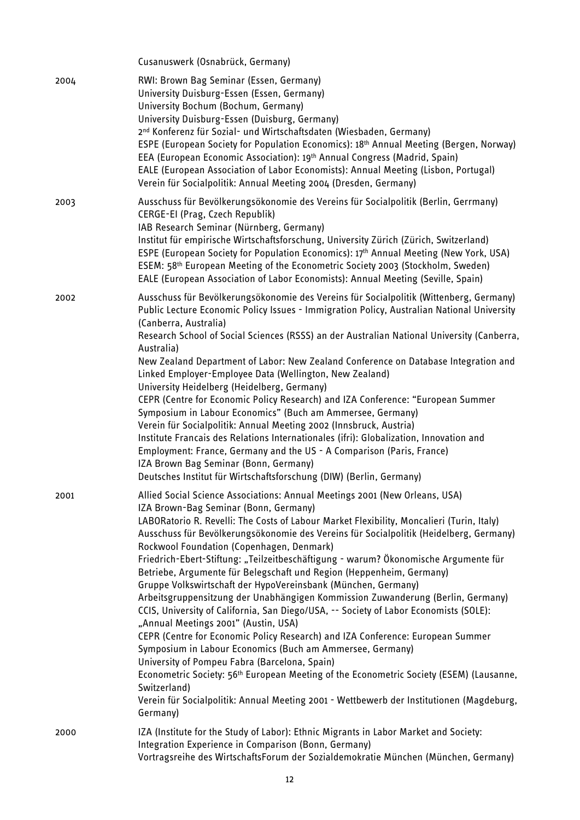|      | Cusanuswerk (Osnabrück, Germany)                                                                                                                                                                                                                                                                                                                                                                                                                                                                                                                                                                                                                                                                                                                                                                                                                                                                                                                                                                                                                                                                                                                                                                                                            |
|------|---------------------------------------------------------------------------------------------------------------------------------------------------------------------------------------------------------------------------------------------------------------------------------------------------------------------------------------------------------------------------------------------------------------------------------------------------------------------------------------------------------------------------------------------------------------------------------------------------------------------------------------------------------------------------------------------------------------------------------------------------------------------------------------------------------------------------------------------------------------------------------------------------------------------------------------------------------------------------------------------------------------------------------------------------------------------------------------------------------------------------------------------------------------------------------------------------------------------------------------------|
| 2004 | RWI: Brown Bag Seminar (Essen, Germany)<br>University Duisburg-Essen (Essen, Germany)<br>University Bochum (Bochum, Germany)<br>University Duisburg-Essen (Duisburg, Germany)<br>2 <sup>nd</sup> Konferenz für Sozial- und Wirtschaftsdaten (Wiesbaden, Germany)<br>ESPE (European Society for Population Economics): 18 <sup>th</sup> Annual Meeting (Bergen, Norway)<br>EEA (European Economic Association): 19th Annual Congress (Madrid, Spain)<br>EALE (European Association of Labor Economists): Annual Meeting (Lisbon, Portugal)<br>Verein für Socialpolitik: Annual Meeting 2004 (Dresden, Germany)                                                                                                                                                                                                                                                                                                                                                                                                                                                                                                                                                                                                                               |
| 2003 | Ausschuss für Bevölkerungsökonomie des Vereins für Socialpolitik (Berlin, Gerrmany)<br>CERGE-EI (Prag, Czech Republik)<br>IAB Research Seminar (Nürnberg, Germany)<br>Institut für empirische Wirtschaftsforschung, University Zürich (Zürich, Switzerland)<br>ESPE (European Society for Population Economics): 17th Annual Meeting (New York, USA)<br>ESEM: 58 <sup>th</sup> European Meeting of the Econometric Society 2003 (Stockholm, Sweden)<br>EALE (European Association of Labor Economists): Annual Meeting (Seville, Spain)                                                                                                                                                                                                                                                                                                                                                                                                                                                                                                                                                                                                                                                                                                     |
| 2002 | Ausschuss für Bevölkerungsökonomie des Vereins für Socialpolitik (Wittenberg, Germany)<br>Public Lecture Economic Policy Issues - Immigration Policy, Australian National University<br>(Canberra, Australia)<br>Research School of Social Sciences (RSSS) an der Australian National University (Canberra,<br>Australia)<br>New Zealand Department of Labor: New Zealand Conference on Database Integration and<br>Linked Employer-Employee Data (Wellington, New Zealand)<br>University Heidelberg (Heidelberg, Germany)<br>CEPR (Centre for Economic Policy Research) and IZA Conference: "European Summer<br>Symposium in Labour Economics" (Buch am Ammersee, Germany)<br>Verein für Socialpolitik: Annual Meeting 2002 (Innsbruck, Austria)<br>Institute Francais des Relations Internationales (ifri): Globalization, Innovation and<br>Employment: France, Germany and the US - A Comparison (Paris, France)<br>IZA Brown Bag Seminar (Bonn, Germany)<br>Deutsches Institut für Wirtschaftsforschung (DIW) (Berlin, Germany)                                                                                                                                                                                                        |
| 2001 | Allied Social Science Associations: Annual Meetings 2001 (New Orleans, USA)<br>IZA Brown-Bag Seminar (Bonn, Germany)<br>LABORatorio R. Revelli: The Costs of Labour Market Flexibility, Moncalieri (Turin, Italy)<br>Ausschuss für Bevölkerungsökonomie des Vereins für Socialpolitik (Heidelberg, Germany)<br>Rockwool Foundation (Copenhagen, Denmark)<br>Friedrich-Ebert-Stiftung: "Teilzeitbeschäftigung - warum? Ökonomische Argumente für<br>Betriebe, Argumente für Belegschaft und Region (Heppenheim, Germany)<br>Gruppe Volkswirtschaft der HypoVereinsbank (München, Germany)<br>Arbeitsgruppensitzung der Unabhängigen Kommission Zuwanderung (Berlin, Germany)<br>CCIS, University of California, San Diego/USA, -- Society of Labor Economists (SOLE):<br>"Annual Meetings 2001" (Austin, USA)<br>CEPR (Centre for Economic Policy Research) and IZA Conference: European Summer<br>Symposium in Labour Economics (Buch am Ammersee, Germany)<br>University of Pompeu Fabra (Barcelona, Spain)<br>Econometric Society: 56 <sup>th</sup> European Meeting of the Econometric Society (ESEM) (Lausanne,<br>Switzerland)<br>Verein für Socialpolitik: Annual Meeting 2001 - Wettbewerb der Institutionen (Magdeburg,<br>Germany) |
| 2000 | IZA (Institute for the Study of Labor): Ethnic Migrants in Labor Market and Society:<br>Integration Experience in Comparison (Bonn, Germany)<br>Vortragsreihe des WirtschaftsForum der Sozialdemokratie München (München, Germany)                                                                                                                                                                                                                                                                                                                                                                                                                                                                                                                                                                                                                                                                                                                                                                                                                                                                                                                                                                                                          |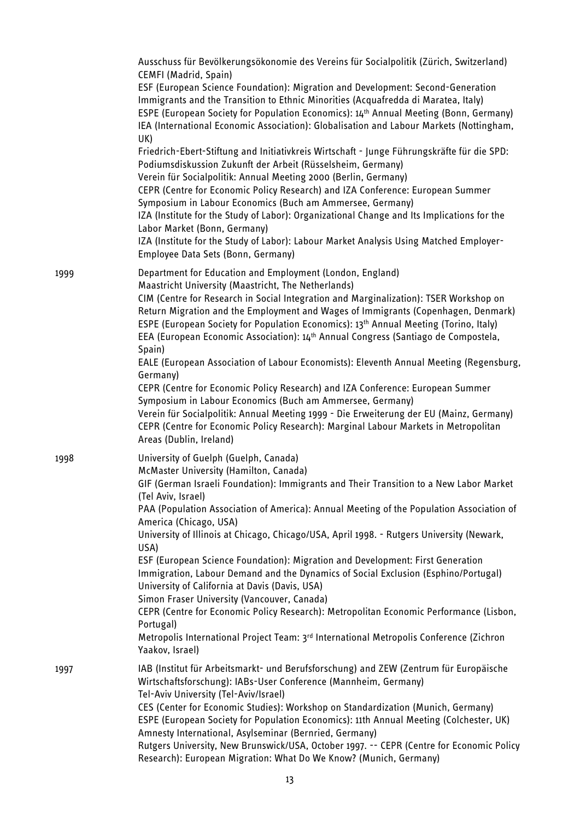|      | Ausschuss für Bevölkerungsökonomie des Vereins für Socialpolitik (Zürich, Switzerland)<br>CEMFI (Madrid, Spain)<br>ESF (European Science Foundation): Migration and Development: Second-Generation<br>Immigrants and the Transition to Ethnic Minorities (Acquafredda di Maratea, Italy)<br>ESPE (European Society for Population Economics): 14th Annual Meeting (Bonn, Germany)<br>IEA (International Economic Association): Globalisation and Labour Markets (Nottingham,<br>UK)<br>Friedrich-Ebert-Stiftung and Initiativkreis Wirtschaft - Junge Führungskräfte für die SPD:<br>Podiumsdiskussion Zukunft der Arbeit (Rüsselsheim, Germany)<br>Verein für Socialpolitik: Annual Meeting 2000 (Berlin, Germany)<br>CEPR (Centre for Economic Policy Research) and IZA Conference: European Summer<br>Symposium in Labour Economics (Buch am Ammersee, Germany)<br>IZA (Institute for the Study of Labor): Organizational Change and Its Implications for the<br>Labor Market (Bonn, Germany)<br>IZA (Institute for the Study of Labor): Labour Market Analysis Using Matched Employer-<br>Employee Data Sets (Bonn, Germany) |
|------|----------------------------------------------------------------------------------------------------------------------------------------------------------------------------------------------------------------------------------------------------------------------------------------------------------------------------------------------------------------------------------------------------------------------------------------------------------------------------------------------------------------------------------------------------------------------------------------------------------------------------------------------------------------------------------------------------------------------------------------------------------------------------------------------------------------------------------------------------------------------------------------------------------------------------------------------------------------------------------------------------------------------------------------------------------------------------------------------------------------------------------|
| 1999 | Department for Education and Employment (London, England)<br>Maastricht University (Maastricht, The Netherlands)<br>CIM (Centre for Research in Social Integration and Marginalization): TSER Workshop on<br>Return Migration and the Employment and Wages of Immigrants (Copenhagen, Denmark)<br>ESPE (European Society for Population Economics): 13 <sup>th</sup> Annual Meeting (Torino, Italy)<br>EEA (European Economic Association): 14th Annual Congress (Santiago de Compostela,<br>Spain)                                                                                                                                                                                                                                                                                                                                                                                                                                                                                                                                                                                                                              |
|      | EALE (European Association of Labour Economists): Eleventh Annual Meeting (Regensburg,<br>Germany)<br>CEPR (Centre for Economic Policy Research) and IZA Conference: European Summer<br>Symposium in Labour Economics (Buch am Ammersee, Germany)<br>Verein für Socialpolitik: Annual Meeting 1999 - Die Erweiterung der EU (Mainz, Germany)<br>CEPR (Centre for Economic Policy Research): Marginal Labour Markets in Metropolitan<br>Areas (Dublin, Ireland)                                                                                                                                                                                                                                                                                                                                                                                                                                                                                                                                                                                                                                                                   |
| 1998 | University of Guelph (Guelph, Canada)<br>McMaster University (Hamilton, Canada)<br>GIF (German Israeli Foundation): Immigrants and Their Transition to a New Labor Market<br>(Tel Aviv, Israel)<br>PAA (Population Association of America): Annual Meeting of the Population Association of<br>America (Chicago, USA)<br>University of Illinois at Chicago, Chicago/USA, April 1998. - Rutgers University (Newark,<br>USA)<br>ESF (European Science Foundation): Migration and Development: First Generation<br>Immigration, Labour Demand and the Dynamics of Social Exclusion (Esphino/Portugal)<br>University of California at Davis (Davis, USA)<br>Simon Fraser University (Vancouver, Canada)<br>CEPR (Centre for Economic Policy Research): Metropolitan Economic Performance (Lisbon,<br>Portugal)<br>Metropolis International Project Team: 3rd International Metropolis Conference (Zichron<br>Yaakov, Israel)                                                                                                                                                                                                         |
| 1997 | IAB (Institut für Arbeitsmarkt- und Berufsforschung) and ZEW (Zentrum für Europäische<br>Wirtschaftsforschung): IABs-User Conference (Mannheim, Germany)<br>Tel-Aviv University (Tel-Aviv/Israel)<br>CES (Center for Economic Studies): Workshop on Standardization (Munich, Germany)<br>ESPE (European Society for Population Economics): 11th Annual Meeting (Colchester, UK)<br>Amnesty International, Asylseminar (Bernried, Germany)<br>Rutgers University, New Brunswick/USA, October 1997. -- CEPR (Centre for Economic Policy<br>Research): European Migration: What Do We Know? (Munich, Germany)                                                                                                                                                                                                                                                                                                                                                                                                                                                                                                                       |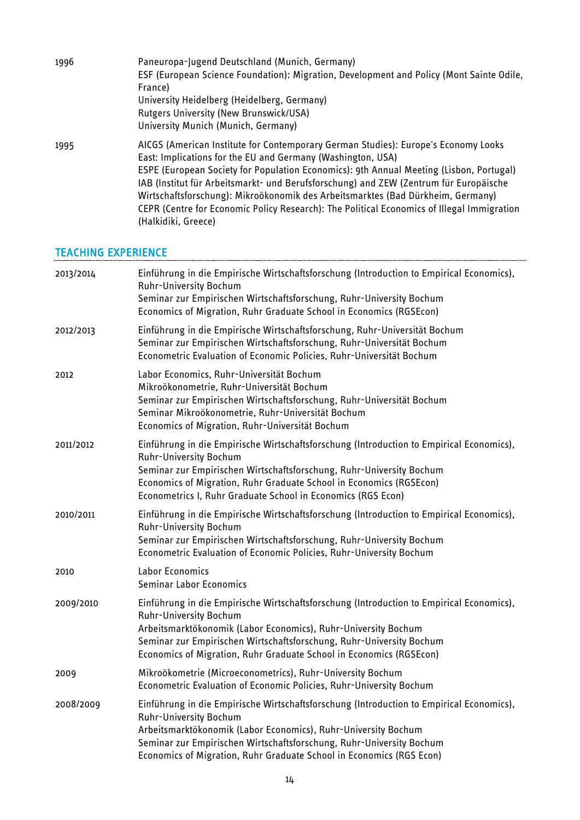| 1996 | Paneuropa-Jugend Deutschland (Munich, Germany)<br>ESF (European Science Foundation): Migration, Development and Policy (Mont Sainte Odile,<br>France)<br>University Heidelberg (Heidelberg, Germany)<br>Rutgers University (New Brunswick/USA)<br>University Munich (Munich, Germany)                                                                                                                                                                                                                                                         |
|------|-----------------------------------------------------------------------------------------------------------------------------------------------------------------------------------------------------------------------------------------------------------------------------------------------------------------------------------------------------------------------------------------------------------------------------------------------------------------------------------------------------------------------------------------------|
| 1995 | AICGS (American Institute for Contemporary German Studies): Europe's Economy Looks<br>East: Implications for the EU and Germany (Washington, USA)<br>ESPE (European Society for Population Economics): 9th Annual Meeting (Lisbon, Portugal)<br>IAB (Institut für Arbeitsmarkt- und Berufsforschung) and ZEW (Zentrum für Europäische<br>Wirtschaftsforschung): Mikroökonomik des Arbeitsmarktes (Bad Dürkheim, Germany)<br>CEPR (Centre for Economic Policy Research): The Political Economics of Illegal Immigration<br>(Halkidiki, Greece) |

# TEACHING EXPERIENCE

| 2013/2014 | Einführung in die Empirische Wirtschaftsforschung (Introduction to Empirical Economics),<br>Ruhr-University Bochum<br>Seminar zur Empirischen Wirtschaftsforschung, Ruhr-University Bochum<br>Economics of Migration, Ruhr Graduate School in Economics (RGSEcon)                                                                    |
|-----------|--------------------------------------------------------------------------------------------------------------------------------------------------------------------------------------------------------------------------------------------------------------------------------------------------------------------------------------|
| 2012/2013 | Einführung in die Empirische Wirtschaftsforschung, Ruhr-Universität Bochum<br>Seminar zur Empirischen Wirtschaftsforschung, Ruhr-Universität Bochum<br>Econometric Evaluation of Economic Policies, Ruhr-Universität Bochum                                                                                                          |
| 2012      | Labor Economics, Ruhr-Universität Bochum<br>Mikroökonometrie, Ruhr-Universität Bochum<br>Seminar zur Empirischen Wirtschaftsforschung, Ruhr-Universität Bochum<br>Seminar Mikroökonometrie, Ruhr-Universität Bochum<br>Economics of Migration, Ruhr-Universität Bochum                                                               |
| 2011/2012 | Einführung in die Empirische Wirtschaftsforschung (Introduction to Empirical Economics),<br>Ruhr-University Bochum<br>Seminar zur Empirischen Wirtschaftsforschung, Ruhr-University Bochum<br>Economics of Migration, Ruhr Graduate School in Economics (RGSEcon)<br>Econometrics I, Ruhr Graduate School in Economics (RGS Econ)    |
| 2010/2011 | Einführung in die Empirische Wirtschaftsforschung (Introduction to Empirical Economics),<br><b>Ruhr-University Bochum</b><br>Seminar zur Empirischen Wirtschaftsforschung, Ruhr-University Bochum<br>Econometric Evaluation of Economic Policies, Ruhr-University Bochum                                                             |
| 2010      | Labor Economics<br>Seminar Labor Economics                                                                                                                                                                                                                                                                                           |
| 2009/2010 | Einführung in die Empirische Wirtschaftsforschung (Introduction to Empirical Economics),<br>Ruhr-University Bochum<br>Arbeitsmarktökonomik (Labor Economics), Ruhr-University Bochum<br>Seminar zur Empirischen Wirtschaftsforschung, Ruhr-University Bochum<br>Economics of Migration, Ruhr Graduate School in Economics (RGSEcon)  |
| 2009      | Mikroökometrie (Microeconometrics), Ruhr-University Bochum<br>Econometric Evaluation of Economic Policies, Ruhr-University Bochum                                                                                                                                                                                                    |
| 2008/2009 | Einführung in die Empirische Wirtschaftsforschung (Introduction to Empirical Economics),<br>Ruhr-University Bochum<br>Arbeitsmarktökonomik (Labor Economics), Ruhr-University Bochum<br>Seminar zur Empirischen Wirtschaftsforschung, Ruhr-University Bochum<br>Economics of Migration, Ruhr Graduate School in Economics (RGS Econ) |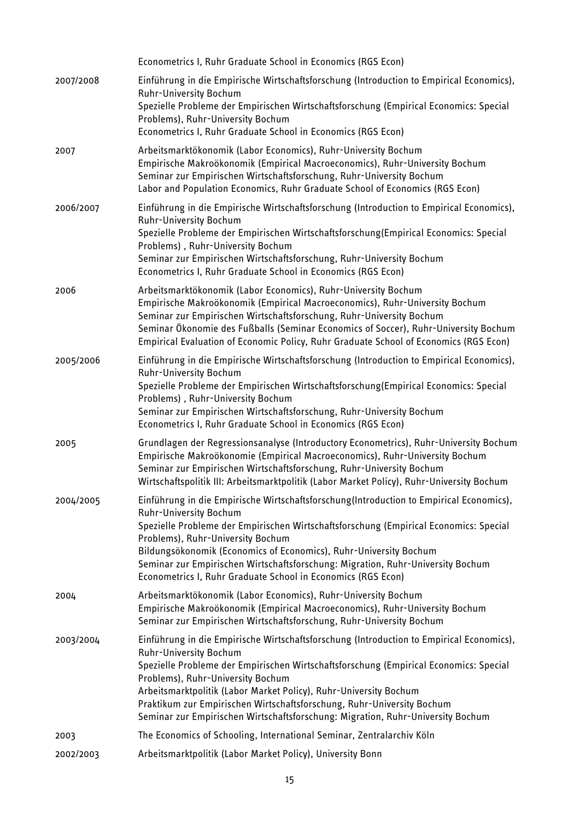|           | Econometrics I, Ruhr Graduate School in Economics (RGS Econ)                                                                                                                                                                                                                                                                                                                                                                                                                       |
|-----------|------------------------------------------------------------------------------------------------------------------------------------------------------------------------------------------------------------------------------------------------------------------------------------------------------------------------------------------------------------------------------------------------------------------------------------------------------------------------------------|
| 2007/2008 | Einführung in die Empirische Wirtschaftsforschung (Introduction to Empirical Economics),<br>Ruhr-University Bochum<br>Spezielle Probleme der Empirischen Wirtschaftsforschung (Empirical Economics: Special<br>Problems), Ruhr-University Bochum<br>Econometrics I, Ruhr Graduate School in Economics (RGS Econ)                                                                                                                                                                   |
| 2007      | Arbeitsmarktökonomik (Labor Economics), Ruhr-University Bochum<br>Empirische Makroökonomik (Empirical Macroeconomics), Ruhr-University Bochum<br>Seminar zur Empirischen Wirtschaftsforschung, Ruhr-University Bochum<br>Labor and Population Economics, Ruhr Graduate School of Economics (RGS Econ)                                                                                                                                                                              |
| 2006/2007 | Einführung in die Empirische Wirtschaftsforschung (Introduction to Empirical Economics),<br><b>Ruhr-University Bochum</b><br>Spezielle Probleme der Empirischen Wirtschaftsforschung(Empirical Economics: Special<br>Problems), Ruhr-University Bochum<br>Seminar zur Empirischen Wirtschaftsforschung, Ruhr-University Bochum<br>Econometrics I, Ruhr Graduate School in Economics (RGS Econ)                                                                                     |
| 2006      | Arbeitsmarktökonomik (Labor Economics), Ruhr-University Bochum<br>Empirische Makroökonomik (Empirical Macroeconomics), Ruhr-University Bochum<br>Seminar zur Empirischen Wirtschaftsforschung, Ruhr-University Bochum<br>Seminar Ökonomie des Fußballs (Seminar Economics of Soccer), Ruhr-University Bochum<br>Empirical Evaluation of Economic Policy, Ruhr Graduate School of Economics (RGS Econ)                                                                              |
| 2005/2006 | Einführung in die Empirische Wirtschaftsforschung (Introduction to Empirical Economics),<br><b>Ruhr-University Bochum</b><br>Spezielle Probleme der Empirischen Wirtschaftsforschung(Empirical Economics: Special<br>Problems), Ruhr-University Bochum<br>Seminar zur Empirischen Wirtschaftsforschung, Ruhr-University Bochum<br>Econometrics I, Ruhr Graduate School in Economics (RGS Econ)                                                                                     |
| 2005      | Grundlagen der Regressionsanalyse (Introductory Econometrics), Ruhr-University Bochum<br>Empirische Makroökonomie (Empirical Macroeconomics), Ruhr-University Bochum<br>Seminar zur Empirischen Wirtschaftsforschung, Ruhr-University Bochum<br>Wirtschaftspolitik III: Arbeitsmarktpolitik (Labor Market Policy), Ruhr-University Bochum                                                                                                                                          |
| 2004/2005 | Einführung in die Empirische Wirtschaftsforschung(Introduction to Empirical Economics),<br>Ruhr-University Bochum<br>Spezielle Probleme der Empirischen Wirtschaftsforschung (Empirical Economics: Special<br>Problems), Ruhr-University Bochum<br>Bildungsökonomik (Economics of Economics), Ruhr-University Bochum<br>Seminar zur Empirischen Wirtschaftsforschung: Migration, Ruhr-University Bochum<br>Econometrics I, Ruhr Graduate School in Economics (RGS Econ)            |
| 2004      | Arbeitsmarktökonomik (Labor Economics), Ruhr-University Bochum<br>Empirische Makroökonomik (Empirical Macroeconomics), Ruhr-University Bochum<br>Seminar zur Empirischen Wirtschaftsforschung, Ruhr-University Bochum                                                                                                                                                                                                                                                              |
| 2003/2004 | Einführung in die Empirische Wirtschaftsforschung (Introduction to Empirical Economics),<br>Ruhr-University Bochum<br>Spezielle Probleme der Empirischen Wirtschaftsforschung (Empirical Economics: Special<br>Problems), Ruhr-University Bochum<br>Arbeitsmarktpolitik (Labor Market Policy), Ruhr-University Bochum<br>Praktikum zur Empirischen Wirtschaftsforschung, Ruhr-University Bochum<br>Seminar zur Empirischen Wirtschaftsforschung: Migration, Ruhr-University Bochum |
| 2003      | The Economics of Schooling, International Seminar, Zentralarchiv Köln                                                                                                                                                                                                                                                                                                                                                                                                              |
| 2002/2003 | Arbeitsmarktpolitik (Labor Market Policy), University Bonn                                                                                                                                                                                                                                                                                                                                                                                                                         |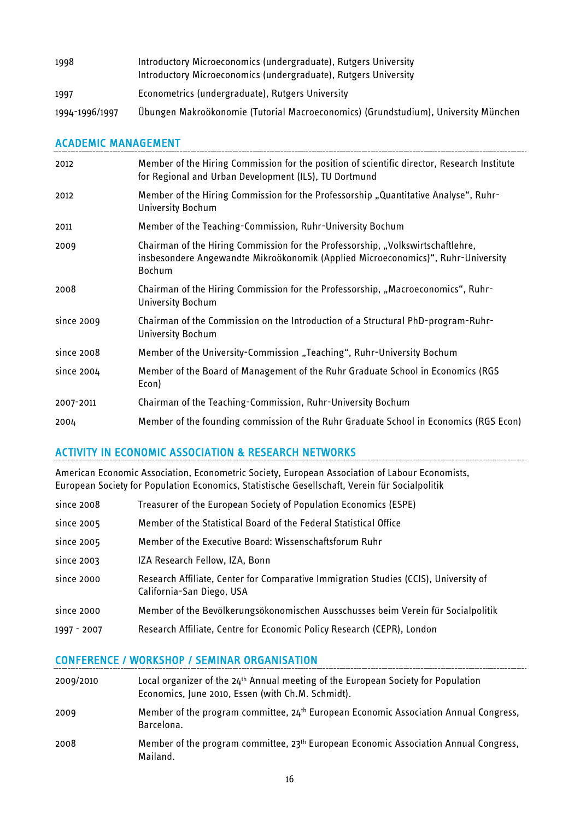| 1998           | Introductory Microeconomics (undergraduate), Rutgers University<br>Introductory Microeconomics (undergraduate), Rutgers University |
|----------------|------------------------------------------------------------------------------------------------------------------------------------|
| 1997           | Econometrics (undergraduate), Rutgers University                                                                                   |
| 1994-1996/1997 | Übungen Makroökonomie (Tutorial Macroeconomics) (Grundstudium), University München                                                 |

### ACADEMIC MANAGEMENT

| 2012       | Member of the Hiring Commission for the position of scientific director, Research Institute<br>for Regional and Urban Development (ILS), TU Dortmund                          |
|------------|-------------------------------------------------------------------------------------------------------------------------------------------------------------------------------|
| 2012       | Member of the Hiring Commission for the Professorship "Quantitative Analyse", Ruhr-<br>University Bochum                                                                      |
| 2011       | Member of the Teaching-Commission, Ruhr-University Bochum                                                                                                                     |
| 2009       | Chairman of the Hiring Commission for the Professorship, "Volkswirtschaftlehre,<br>insbesondere Angewandte Mikroökonomik (Applied Microeconomics)", Ruhr-University<br>Bochum |
| 2008       | Chairman of the Hiring Commission for the Professorship, "Macroeconomics", Ruhr-<br>University Bochum                                                                         |
| since 2009 | Chairman of the Commission on the Introduction of a Structural PhD-program-Ruhr-<br>University Bochum                                                                         |
| since 2008 | Member of the University-Commission "Teaching", Ruhr-University Bochum                                                                                                        |
| since 2004 | Member of the Board of Management of the Ruhr Graduate School in Economics (RGS<br>Econ)                                                                                      |
| 2007-2011  | Chairman of the Teaching-Commission, Ruhr-University Bochum                                                                                                                   |
| 2004       | Member of the founding commission of the Ruhr Graduate School in Economics (RGS Econ)                                                                                         |

# ACTIVITY IN ECONOMIC ASSOCIATION & RESEARCH NETWORKS

American Economic Association, Econometric Society, European Association of Labour Economists, European Society for Population Economics, Statistische Gesellschaft, Verein für Socialpolitik

| since 2008  | Treasurer of the European Society of Population Economics (ESPE)                                                  |
|-------------|-------------------------------------------------------------------------------------------------------------------|
| since 2005  | Member of the Statistical Board of the Federal Statistical Office                                                 |
| since 2005  | Member of the Executive Board: Wissenschaftsforum Ruhr                                                            |
| since 2003  | IZA Research Fellow, IZA, Bonn                                                                                    |
| since 2000  | Research Affiliate, Center for Comparative Immigration Studies (CCIS), University of<br>California-San Diego, USA |
| since 2000  | Member of the Bevölkerungsökonomischen Ausschusses beim Verein für Socialpolitik                                  |
| 1997 - 2007 | Research Affiliate, Centre for Economic Policy Research (CEPR), London                                            |
|             |                                                                                                                   |

# CONFERENCE / WORKSHOP / SEMINAR ORGANISATION

| 2009/2010 | Local organizer of the 24 <sup>th</sup> Annual meeting of the European Society for Population<br>Economics, June 2010, Essen (with Ch.M. Schmidt). |
|-----------|----------------------------------------------------------------------------------------------------------------------------------------------------|
| 2009      | Member of the program committee, 24 <sup>th</sup> European Economic Association Annual Congress,<br>Barcelona.                                     |
| 2008      | Member of the program committee, 23 <sup>th</sup> European Economic Association Annual Congress,<br>Mailand.                                       |